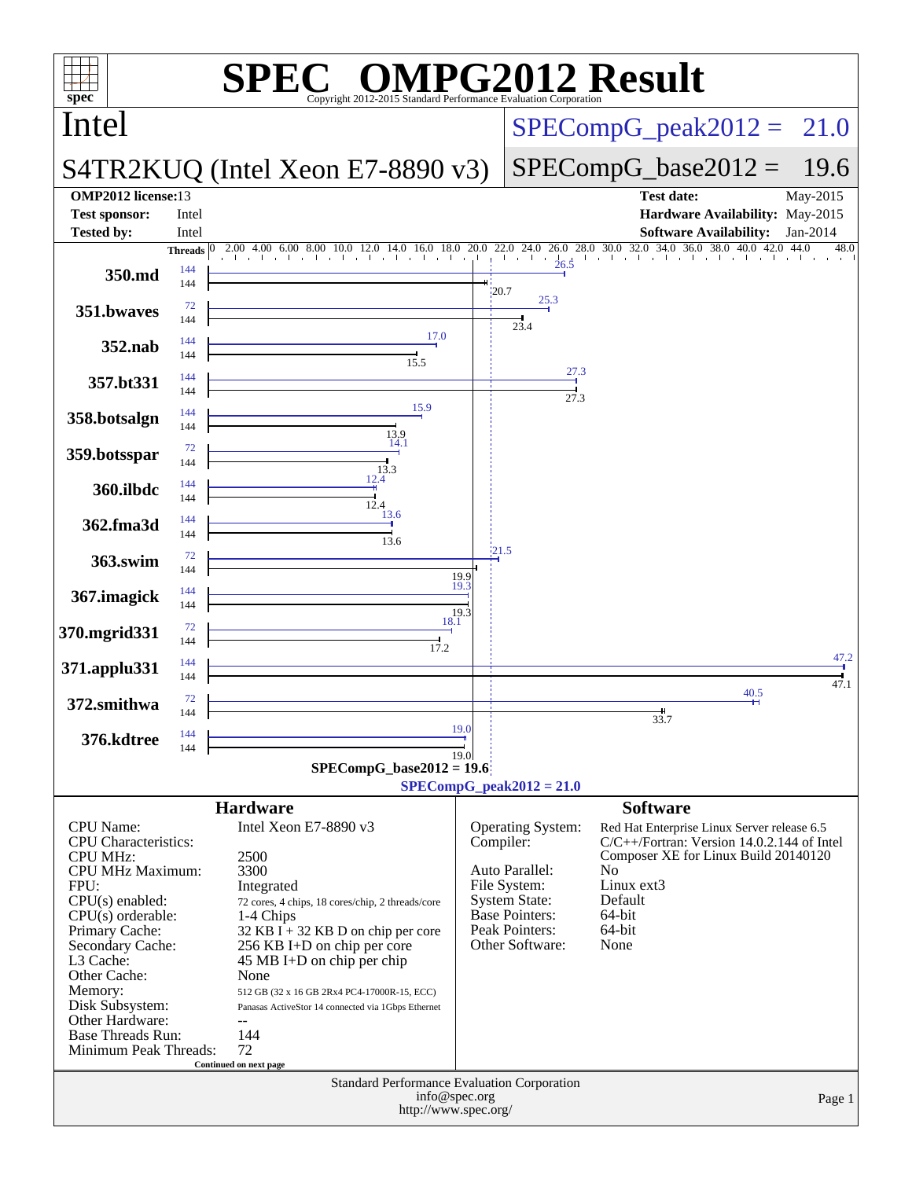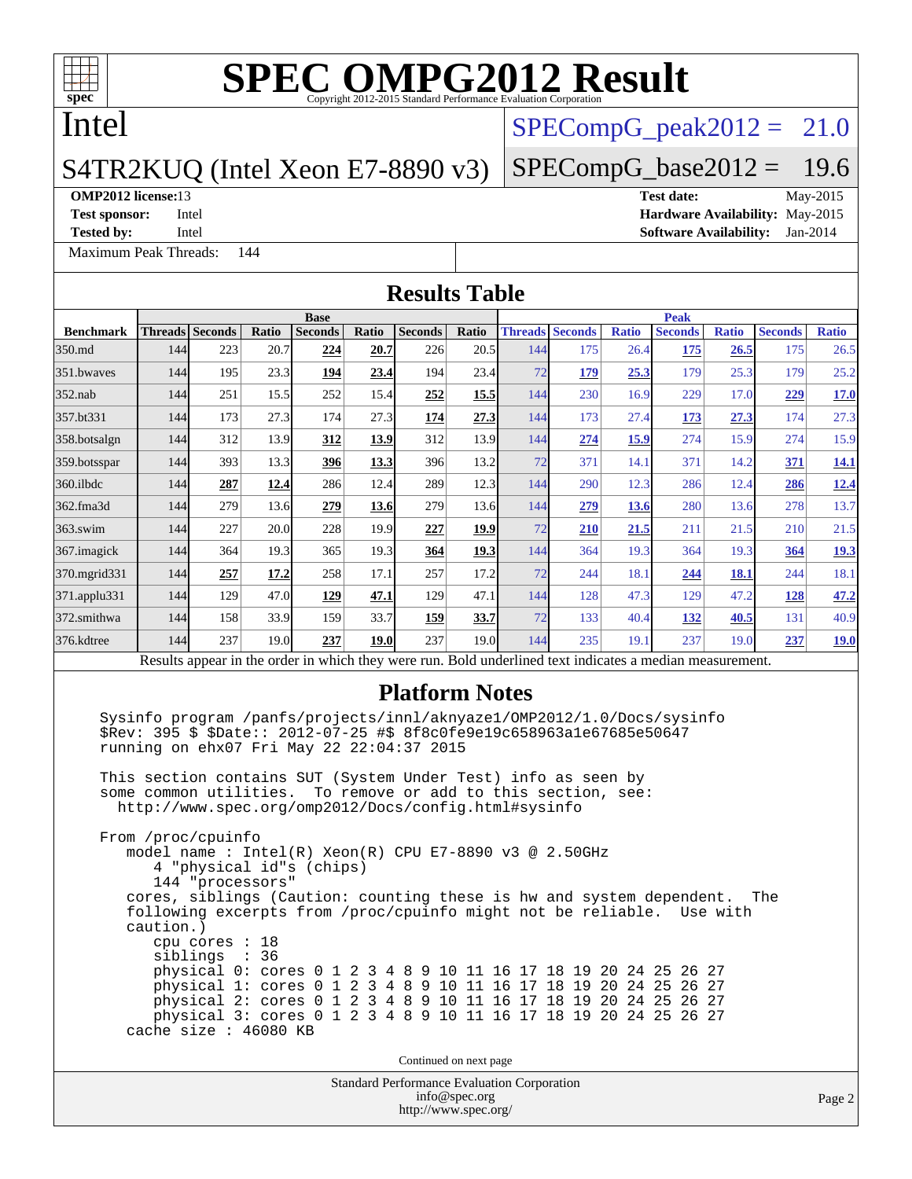

### Intel

#### S4TR2KUQ (Intel Xeon E7-8890 v3)

#### **[OMP2012 license:](http://www.spec.org/auto/omp2012/Docs/result-fields.html#OMP2012license)**13 **[Test date:](http://www.spec.org/auto/omp2012/Docs/result-fields.html#Testdate)** May-2015

**[Tested by:](http://www.spec.org/auto/omp2012/Docs/result-fields.html#Testedby)** Intel **[Software Availability:](http://www.spec.org/auto/omp2012/Docs/result-fields.html#SoftwareAvailability)** Jan-2014

[Maximum Peak Threads:](http://www.spec.org/auto/omp2012/Docs/result-fields.html#MaximumPeakThreads) 144

 $SPECompG<sub>peak2012</sub> = 21.0$ 

#### $SPECompG_base2012 = 19.6$  $SPECompG_base2012 = 19.6$

**[Test sponsor:](http://www.spec.org/auto/omp2012/Docs/result-fields.html#Testsponsor)** Intel **[Hardware Availability:](http://www.spec.org/auto/omp2012/Docs/result-fields.html#HardwareAvailability)** May-2015

Standard Performance Evaluation Corporation [info@spec.org](mailto:info@spec.org) <http://www.spec.org/> Page 2 **[Results Table](http://www.spec.org/auto/omp2012/Docs/result-fields.html#ResultsTable) [Benchmark](http://www.spec.org/auto/omp2012/Docs/result-fields.html#Benchmark) [Threads](http://www.spec.org/auto/omp2012/Docs/result-fields.html#Threads) [Seconds](http://www.spec.org/auto/omp2012/Docs/result-fields.html#Seconds) [Ratio](http://www.spec.org/auto/omp2012/Docs/result-fields.html#Ratio) [Seconds](http://www.spec.org/auto/omp2012/Docs/result-fields.html#Seconds) [Ratio](http://www.spec.org/auto/omp2012/Docs/result-fields.html#Ratio) [Seconds](http://www.spec.org/auto/omp2012/Docs/result-fields.html#Seconds) [Ratio](http://www.spec.org/auto/omp2012/Docs/result-fields.html#Ratio) Base [Threads](http://www.spec.org/auto/omp2012/Docs/result-fields.html#Threads) [Seconds](http://www.spec.org/auto/omp2012/Docs/result-fields.html#Seconds) [Ratio](http://www.spec.org/auto/omp2012/Docs/result-fields.html#Ratio) [Seconds](http://www.spec.org/auto/omp2012/Docs/result-fields.html#Seconds) [Ratio](http://www.spec.org/auto/omp2012/Docs/result-fields.html#Ratio) [Seconds](http://www.spec.org/auto/omp2012/Docs/result-fields.html#Seconds) [Ratio](http://www.spec.org/auto/omp2012/Docs/result-fields.html#Ratio) Peak** [350.md](http://www.spec.org/auto/omp2012/Docs/350.md.html) 144 223 20.7 **[224](http://www.spec.org/auto/omp2012/Docs/result-fields.html#Median) [20.7](http://www.spec.org/auto/omp2012/Docs/result-fields.html#Median)** 226 20.5 144 175 26.4 **[175](http://www.spec.org/auto/omp2012/Docs/result-fields.html#Median) [26.5](http://www.spec.org/auto/omp2012/Docs/result-fields.html#Median)** 175 26.5 [351.bwaves](http://www.spec.org/auto/omp2012/Docs/351.bwaves.html) 144 195 23.3 **[194](http://www.spec.org/auto/omp2012/Docs/result-fields.html#Median) [23.4](http://www.spec.org/auto/omp2012/Docs/result-fields.html#Median)** 194 23.4 72 **[179](http://www.spec.org/auto/omp2012/Docs/result-fields.html#Median) [25.3](http://www.spec.org/auto/omp2012/Docs/result-fields.html#Median)** 179 25.3 179 25.2 [352.nab](http://www.spec.org/auto/omp2012/Docs/352.nab.html) 144 251 15.5 252 15.4 **[252](http://www.spec.org/auto/omp2012/Docs/result-fields.html#Median) [15.5](http://www.spec.org/auto/omp2012/Docs/result-fields.html#Median)** 144 230 16.9 229 17.0 **[229](http://www.spec.org/auto/omp2012/Docs/result-fields.html#Median) [17.0](http://www.spec.org/auto/omp2012/Docs/result-fields.html#Median)** [357.bt331](http://www.spec.org/auto/omp2012/Docs/357.bt331.html) 144 173 27.3 174 27.3 **[174](http://www.spec.org/auto/omp2012/Docs/result-fields.html#Median) [27.3](http://www.spec.org/auto/omp2012/Docs/result-fields.html#Median)** 144 173 27.4 **[173](http://www.spec.org/auto/omp2012/Docs/result-fields.html#Median) [27.3](http://www.spec.org/auto/omp2012/Docs/result-fields.html#Median)** 174 27.3 [358.botsalgn](http://www.spec.org/auto/omp2012/Docs/358.botsalgn.html) 144 312 13.9 **[312](http://www.spec.org/auto/omp2012/Docs/result-fields.html#Median) [13.9](http://www.spec.org/auto/omp2012/Docs/result-fields.html#Median)** 312 13.9 144 **[274](http://www.spec.org/auto/omp2012/Docs/result-fields.html#Median) [15.9](http://www.spec.org/auto/omp2012/Docs/result-fields.html#Median)** 274 15.9 274 15.9 [359.botsspar](http://www.spec.org/auto/omp2012/Docs/359.botsspar.html) 144 393 13.3 **[396](http://www.spec.org/auto/omp2012/Docs/result-fields.html#Median) [13.3](http://www.spec.org/auto/omp2012/Docs/result-fields.html#Median)** 396 13.2 72 371 14.1 371 14.2 **[371](http://www.spec.org/auto/omp2012/Docs/result-fields.html#Median) [14.1](http://www.spec.org/auto/omp2012/Docs/result-fields.html#Median)** [360.ilbdc](http://www.spec.org/auto/omp2012/Docs/360.ilbdc.html) 144 **[287](http://www.spec.org/auto/omp2012/Docs/result-fields.html#Median) [12.4](http://www.spec.org/auto/omp2012/Docs/result-fields.html#Median)** 286 12.4 289 12.3 144 290 12.3 286 12.4 **[286](http://www.spec.org/auto/omp2012/Docs/result-fields.html#Median) [12.4](http://www.spec.org/auto/omp2012/Docs/result-fields.html#Median)** [362.fma3d](http://www.spec.org/auto/omp2012/Docs/362.fma3d.html) 144 279 13.6 **[279](http://www.spec.org/auto/omp2012/Docs/result-fields.html#Median) [13.6](http://www.spec.org/auto/omp2012/Docs/result-fields.html#Median)** 279 13.6 144 **[279](http://www.spec.org/auto/omp2012/Docs/result-fields.html#Median) [13.6](http://www.spec.org/auto/omp2012/Docs/result-fields.html#Median)** 280 13.6 278 13.7 [363.swim](http://www.spec.org/auto/omp2012/Docs/363.swim.html) 144 227 20.0 228 19.9 **[227](http://www.spec.org/auto/omp2012/Docs/result-fields.html#Median) [19.9](http://www.spec.org/auto/omp2012/Docs/result-fields.html#Median)** 72 **[210](http://www.spec.org/auto/omp2012/Docs/result-fields.html#Median) [21.5](http://www.spec.org/auto/omp2012/Docs/result-fields.html#Median)** 211 21.5 210 21.5 [367.imagick](http://www.spec.org/auto/omp2012/Docs/367.imagick.html) 144 364 19.3 365 19.3 **[364](http://www.spec.org/auto/omp2012/Docs/result-fields.html#Median) [19.3](http://www.spec.org/auto/omp2012/Docs/result-fields.html#Median)** 144 364 19.3 364 19.3 **[364](http://www.spec.org/auto/omp2012/Docs/result-fields.html#Median) [19.3](http://www.spec.org/auto/omp2012/Docs/result-fields.html#Median)** [370.mgrid331](http://www.spec.org/auto/omp2012/Docs/370.mgrid331.html) 144 **[257](http://www.spec.org/auto/omp2012/Docs/result-fields.html#Median) [17.2](http://www.spec.org/auto/omp2012/Docs/result-fields.html#Median)** 258 17.1 257 17.2 72 244 18.1 **[244](http://www.spec.org/auto/omp2012/Docs/result-fields.html#Median) [18.1](http://www.spec.org/auto/omp2012/Docs/result-fields.html#Median)** 244 18.1 [371.applu331](http://www.spec.org/auto/omp2012/Docs/371.applu331.html) 144 129 47.0 **[129](http://www.spec.org/auto/omp2012/Docs/result-fields.html#Median) [47.1](http://www.spec.org/auto/omp2012/Docs/result-fields.html#Median)** 129 47.1 144 128 47.3 129 47.2 **[128](http://www.spec.org/auto/omp2012/Docs/result-fields.html#Median) [47.2](http://www.spec.org/auto/omp2012/Docs/result-fields.html#Median)** [372.smithwa](http://www.spec.org/auto/omp2012/Docs/372.smithwa.html) 144 158 33.9 159 33.7 **[159](http://www.spec.org/auto/omp2012/Docs/result-fields.html#Median) [33.7](http://www.spec.org/auto/omp2012/Docs/result-fields.html#Median)** 72 133 40.4 **[132](http://www.spec.org/auto/omp2012/Docs/result-fields.html#Median) [40.5](http://www.spec.org/auto/omp2012/Docs/result-fields.html#Median)** 131 40.9 [376.kdtree](http://www.spec.org/auto/omp2012/Docs/376.kdtree.html) 144 237 19.0 **[237](http://www.spec.org/auto/omp2012/Docs/result-fields.html#Median) [19.0](http://www.spec.org/auto/omp2012/Docs/result-fields.html#Median)** 237 19.0 144 235 19.1 237 19.0 **[237](http://www.spec.org/auto/omp2012/Docs/result-fields.html#Median) [19.0](http://www.spec.org/auto/omp2012/Docs/result-fields.html#Median)** Results appear in the [order in which they were run.](http://www.spec.org/auto/omp2012/Docs/result-fields.html#RunOrder) Bold underlined text [indicates a median measurement.](http://www.spec.org/auto/omp2012/Docs/result-fields.html#Median) **[Platform Notes](http://www.spec.org/auto/omp2012/Docs/result-fields.html#PlatformNotes)** Sysinfo program /panfs/projects/innl/aknyaze1/OMP2012/1.0/Docs/sysinfo \$Rev: 395 \$ \$Date:: 2012-07-25 #\$ 8f8c0fe9e19c658963a1e67685e50647 running on ehx07 Fri May 22 22:04:37 2015 This section contains SUT (System Under Test) info as seen by some common utilities. To remove or add to this section, see: <http://www.spec.org/omp2012/Docs/config.html#sysinfo> From /proc/cpuinfo model name : Intel(R) Xeon(R) CPU E7-8890 v3 @ 2.50GHz 4 "physical id"s (chips) 144 "processors" cores, siblings (Caution: counting these is hw and system dependent. The following excerpts from /proc/cpuinfo might not be reliable. Use with caution.) cpu cores : 18 siblings : 36 physical 0: cores 0 1 2 3 4 8 9 10 11 16 17 18 19 20 24 25 26 27 physical 1: cores 0 1 2 3 4 8 9 10 11 16 17 18 19 20 24 25 26 27 physical 2: cores 0 1 2 3 4 8 9 10 11 16 17 18 19 20 24 25 26 27 physical 3: cores 0 1 2 3 4 8 9 10 11 16 17 18 19 20 24 25 26 27 cache size : 46080 KB Continued on next page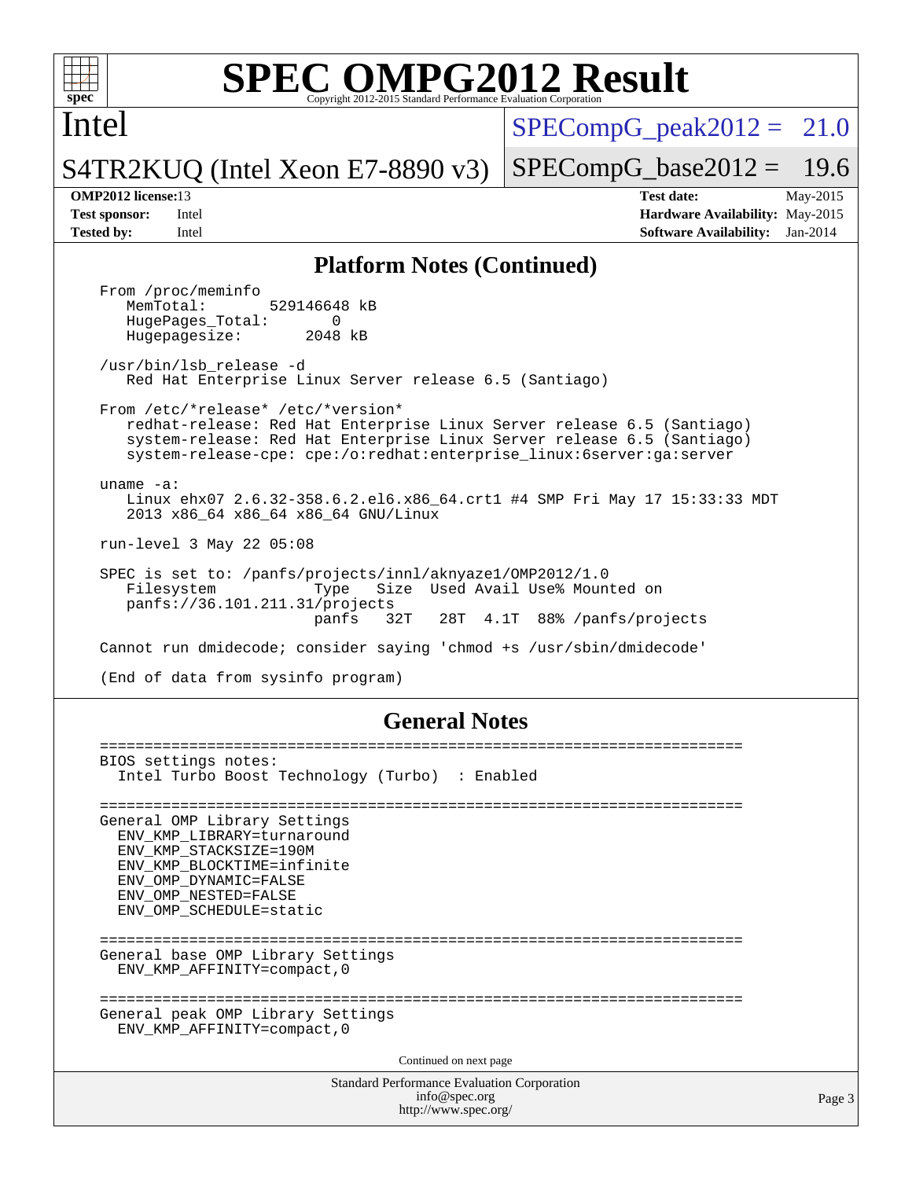

Intel

 $SPECompG<sub>peak2012</sub> = 21.0$ 

S4TR2KUQ (Intel Xeon E7-8890 v3)

 $SPECompG_base2012 = 19.6$  $SPECompG_base2012 = 19.6$ 

**[OMP2012 license:](http://www.spec.org/auto/omp2012/Docs/result-fields.html#OMP2012license)**13 **[Test date:](http://www.spec.org/auto/omp2012/Docs/result-fields.html#Testdate)** May-2015 **[Test sponsor:](http://www.spec.org/auto/omp2012/Docs/result-fields.html#Testsponsor)** Intel **[Hardware Availability:](http://www.spec.org/auto/omp2012/Docs/result-fields.html#HardwareAvailability)** May-2015 **[Tested by:](http://www.spec.org/auto/omp2012/Docs/result-fields.html#Testedby)** Intel **[Software Availability:](http://www.spec.org/auto/omp2012/Docs/result-fields.html#SoftwareAvailability)** Jan-2014

#### **[Platform Notes \(Continued\)](http://www.spec.org/auto/omp2012/Docs/result-fields.html#PlatformNotes)**

From /proc/meminfo<br>MemTotal: 529146648 kB HugePages\_Total: 0<br>Hugepagesize: 2048 kB Hugepagesize: /usr/bin/lsb\_release -d Red Hat Enterprise Linux Server release 6.5 (Santiago) From /etc/\*release\* /etc/\*version\* redhat-release: Red Hat Enterprise Linux Server release 6.5 (Santiago) system-release: Red Hat Enterprise Linux Server release 6.5 (Santiago) system-release-cpe: cpe:/o:redhat:enterprise\_linux:6server:ga:server uname -a: Linux ehx07 2.6.32-358.6.2.el6.x86\_64.crt1 #4 SMP Fri May 17 15:33:33 MDT 2013 x86\_64 x86\_64 x86\_64 GNU/Linux run-level 3 May 22 05:08 SPEC is set to: /panfs/projects/innl/aknyaze1/OMP2012/1.0 Filesystem Type Size Used Avail Use% Mounted on panfs://36.101.211.31/projects panfs 32T 28T 4.1T 88% /panfs/projects Cannot run dmidecode; consider saying 'chmod +s /usr/sbin/dmidecode' (End of data from sysinfo program)

#### **[General Notes](http://www.spec.org/auto/omp2012/Docs/result-fields.html#GeneralNotes)**

Standard Performance Evaluation Corporation [info@spec.org](mailto:info@spec.org) <http://www.spec.org/> ======================================================================== BIOS settings notes: Intel Turbo Boost Technology (Turbo) : Enabled ======================================================================== General OMP Library Settings ENV\_KMP\_LIBRARY=turnaround ENV\_KMP\_STACKSIZE=190M ENV\_KMP\_BLOCKTIME=infinite ENV\_OMP\_DYNAMIC=FALSE ENV\_OMP\_NESTED=FALSE ENV\_OMP\_SCHEDULE=static ======================================================================== General base OMP Library Settings ENV\_KMP\_AFFINITY=compact,0 ======================================================================== General peak OMP Library Settings ENV\_KMP\_AFFINITY=compact,0 Continued on next page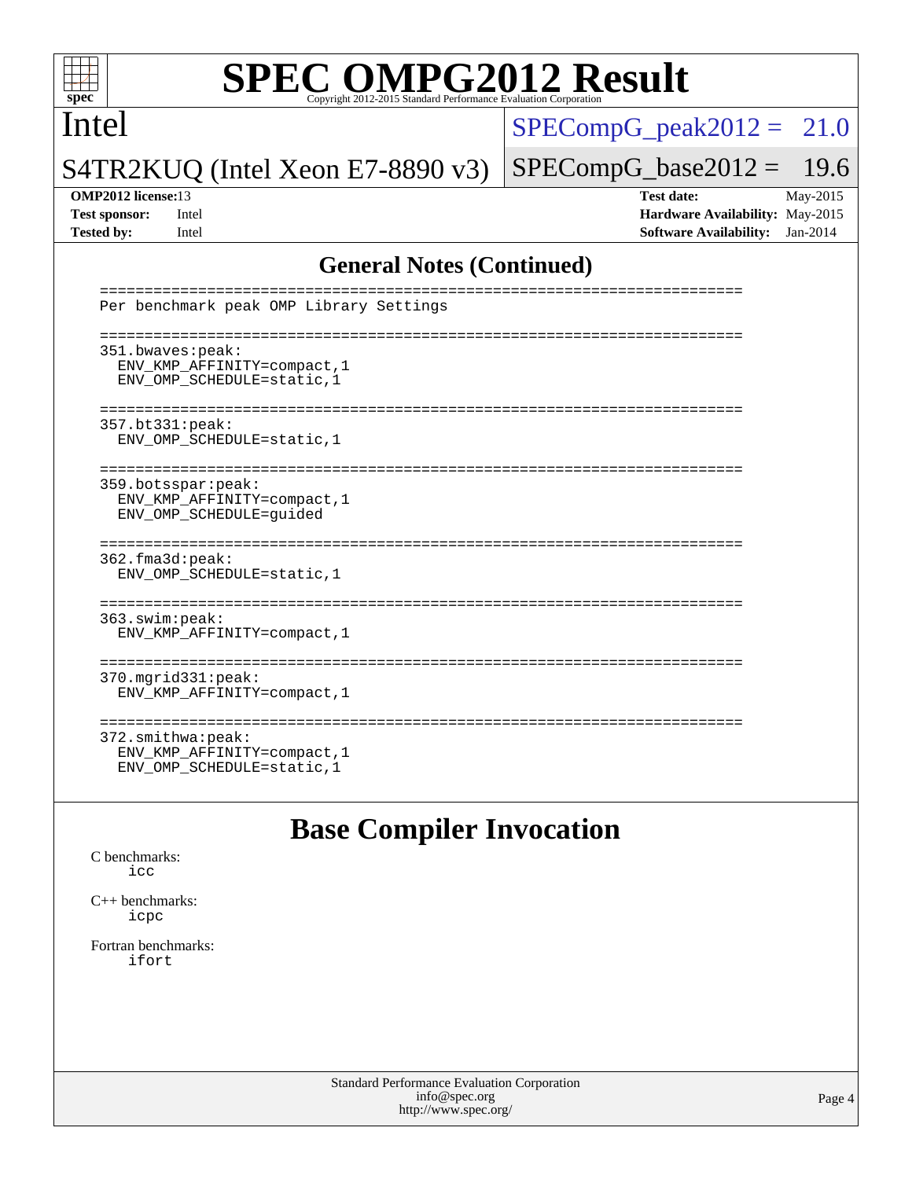

Intel

 $SPECompG_peak2012 = 21.0$  $SPECompG_peak2012 = 21.0$ 

S4TR2KUQ (Intel Xeon E7-8890 v3)

 $SPECompG_base2012 = 19.6$  $SPECompG_base2012 = 19.6$ 

**[OMP2012 license:](http://www.spec.org/auto/omp2012/Docs/result-fields.html#OMP2012license)**13 **[Test date:](http://www.spec.org/auto/omp2012/Docs/result-fields.html#Testdate)** May-2015 **[Test sponsor:](http://www.spec.org/auto/omp2012/Docs/result-fields.html#Testsponsor)** Intel **[Hardware Availability:](http://www.spec.org/auto/omp2012/Docs/result-fields.html#HardwareAvailability)** May-2015 **[Tested by:](http://www.spec.org/auto/omp2012/Docs/result-fields.html#Testedby)** Intel **[Software Availability:](http://www.spec.org/auto/omp2012/Docs/result-fields.html#SoftwareAvailability)** Jan-2014

#### **[General Notes \(Continued\)](http://www.spec.org/auto/omp2012/Docs/result-fields.html#GeneralNotes)**

| Per benchmark peak OMP Library Settings                                                                        |
|----------------------------------------------------------------------------------------------------------------|
| -----------------------------<br>351.bwaves:peak:<br>ENV KMP AFFINITY=compact, 1<br>ENV_OMP_SCHEDULE=static, 1 |
| 357.bt331:peak:<br>ENV_OMP_SCHEDULE=static, 1                                                                  |
| 359.botsspar:peak:<br>ENV KMP AFFINITY=compact, 1<br>ENV OMP SCHEDULE=quided                                   |
| --------------<br>362.fma3d:peak:<br>ENV OMP SCHEDULE=static, 1                                                |
| 363.swim:peak:<br>ENV KMP AFFINITY=compact, 1                                                                  |
| ---------------------<br>$370.\text{mgrid}331:\text{peak}:$<br>ENV KMP AFFINITY=compact, 1                     |
| 372.smithwa:peak:<br>ENV KMP AFFINITY=compact, 1<br>ENV OMP SCHEDULE=static, 1                                 |

### **[Base Compiler Invocation](http://www.spec.org/auto/omp2012/Docs/result-fields.html#BaseCompilerInvocation)**

[C benchmarks](http://www.spec.org/auto/omp2012/Docs/result-fields.html#Cbenchmarks): [icc](http://www.spec.org/omp2012/results/res2015q2/omp2012-20150527-00065.flags.html#user_CCbase_intel_icc_a87c68a857bc5ec5362391a49d3a37a6)

[C++ benchmarks:](http://www.spec.org/auto/omp2012/Docs/result-fields.html#CXXbenchmarks) [icpc](http://www.spec.org/omp2012/results/res2015q2/omp2012-20150527-00065.flags.html#user_CXXbase_intel_icpc_2d899f8d163502b12eb4a60069f80c1c)

[Fortran benchmarks](http://www.spec.org/auto/omp2012/Docs/result-fields.html#Fortranbenchmarks): [ifort](http://www.spec.org/omp2012/results/res2015q2/omp2012-20150527-00065.flags.html#user_FCbase_intel_ifort_8a5e5e06b19a251bdeaf8fdab5d62f20)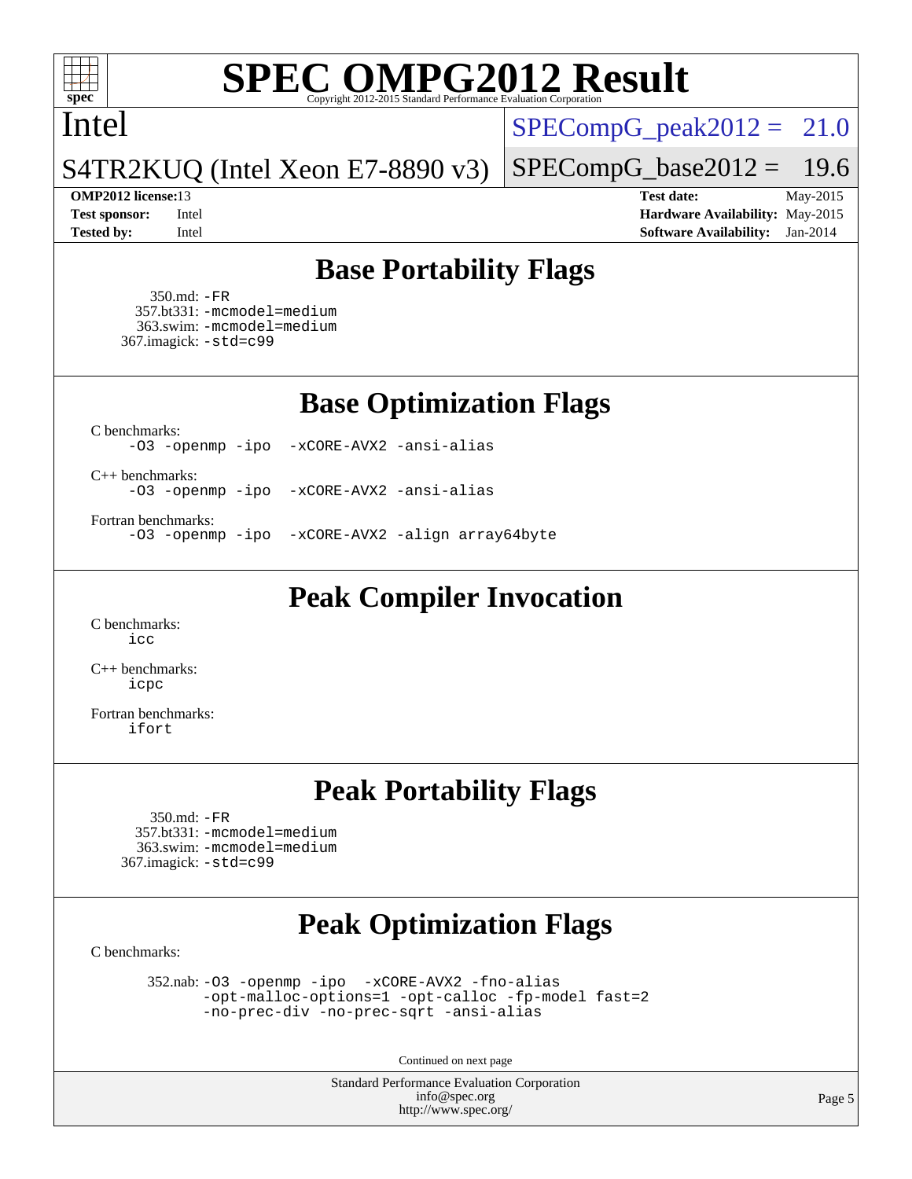

#### Intel

 $SPECompG_peak2012 = 21.0$  $SPECompG_peak2012 = 21.0$ 

#### S4TR2KUQ (Intel Xeon E7-8890 v3)

**[Tested by:](http://www.spec.org/auto/omp2012/Docs/result-fields.html#Testedby)** Intel **[Software Availability:](http://www.spec.org/auto/omp2012/Docs/result-fields.html#SoftwareAvailability)** Jan-2014

 $SPECompG_base2012 = 19.6$  $SPECompG_base2012 = 19.6$ **[OMP2012 license:](http://www.spec.org/auto/omp2012/Docs/result-fields.html#OMP2012license)**13 **[Test date:](http://www.spec.org/auto/omp2012/Docs/result-fields.html#Testdate)** May-2015 **[Test sponsor:](http://www.spec.org/auto/omp2012/Docs/result-fields.html#Testsponsor)** Intel **[Hardware Availability:](http://www.spec.org/auto/omp2012/Docs/result-fields.html#HardwareAvailability)** May-2015

**[Base Portability Flags](http://www.spec.org/auto/omp2012/Docs/result-fields.html#BasePortabilityFlags)**

 350.md: [-FR](http://www.spec.org/omp2012/results/res2015q2/omp2012-20150527-00065.flags.html#user_baseFPORTABILITY350_md_f-FR) 357.bt331: [-mcmodel=medium](http://www.spec.org/omp2012/results/res2015q2/omp2012-20150527-00065.flags.html#user_basePORTABILITY357_bt331_f-mcmodel_3a41622424bdd074c4f0f2d2f224c7e5) 363.swim: [-mcmodel=medium](http://www.spec.org/omp2012/results/res2015q2/omp2012-20150527-00065.flags.html#user_basePORTABILITY363_swim_f-mcmodel_3a41622424bdd074c4f0f2d2f224c7e5) 367.imagick: [-std=c99](http://www.spec.org/omp2012/results/res2015q2/omp2012-20150527-00065.flags.html#user_baseCPORTABILITY367_imagick_f-std_2ec6533b6e06f1c4a6c9b78d9e9cde24)

**[Base Optimization Flags](http://www.spec.org/auto/omp2012/Docs/result-fields.html#BaseOptimizationFlags)**

[C benchmarks](http://www.spec.org/auto/omp2012/Docs/result-fields.html#Cbenchmarks):

[-O3](http://www.spec.org/omp2012/results/res2015q2/omp2012-20150527-00065.flags.html#user_CCbase_f-O3) [-openmp](http://www.spec.org/omp2012/results/res2015q2/omp2012-20150527-00065.flags.html#user_CCbase_f-openmp) [-ipo](http://www.spec.org/omp2012/results/res2015q2/omp2012-20150527-00065.flags.html#user_CCbase_f-ipo_84062ab53814f613187d02344b8f49a7) [-xCORE-AVX2](http://www.spec.org/omp2012/results/res2015q2/omp2012-20150527-00065.flags.html#user_CCbase_f-xCORE-AVX2) [-ansi-alias](http://www.spec.org/omp2012/results/res2015q2/omp2012-20150527-00065.flags.html#user_CCbase_f-ansi-alias)

[C++ benchmarks:](http://www.spec.org/auto/omp2012/Docs/result-fields.html#CXXbenchmarks)

[-O3](http://www.spec.org/omp2012/results/res2015q2/omp2012-20150527-00065.flags.html#user_CXXbase_f-O3) [-openmp](http://www.spec.org/omp2012/results/res2015q2/omp2012-20150527-00065.flags.html#user_CXXbase_f-openmp) [-ipo](http://www.spec.org/omp2012/results/res2015q2/omp2012-20150527-00065.flags.html#user_CXXbase_f-ipo_84062ab53814f613187d02344b8f49a7) [-xCORE-AVX2](http://www.spec.org/omp2012/results/res2015q2/omp2012-20150527-00065.flags.html#user_CXXbase_f-xCORE-AVX2) [-ansi-alias](http://www.spec.org/omp2012/results/res2015q2/omp2012-20150527-00065.flags.html#user_CXXbase_f-ansi-alias)

[Fortran benchmarks](http://www.spec.org/auto/omp2012/Docs/result-fields.html#Fortranbenchmarks):

[-O3](http://www.spec.org/omp2012/results/res2015q2/omp2012-20150527-00065.flags.html#user_FCbase_f-O3) [-openmp](http://www.spec.org/omp2012/results/res2015q2/omp2012-20150527-00065.flags.html#user_FCbase_f-openmp) [-ipo](http://www.spec.org/omp2012/results/res2015q2/omp2012-20150527-00065.flags.html#user_FCbase_f-ipo_84062ab53814f613187d02344b8f49a7) [-xCORE-AVX2](http://www.spec.org/omp2012/results/res2015q2/omp2012-20150527-00065.flags.html#user_FCbase_f-xCORE-AVX2) [-align array64byte](http://www.spec.org/omp2012/results/res2015q2/omp2012-20150527-00065.flags.html#user_FCbase_f-align_c9377f996e966d652baaf753401d4725)

**[Peak Compiler Invocation](http://www.spec.org/auto/omp2012/Docs/result-fields.html#PeakCompilerInvocation)**

[C benchmarks](http://www.spec.org/auto/omp2012/Docs/result-fields.html#Cbenchmarks): [icc](http://www.spec.org/omp2012/results/res2015q2/omp2012-20150527-00065.flags.html#user_CCpeak_intel_icc_a87c68a857bc5ec5362391a49d3a37a6)

[C++ benchmarks:](http://www.spec.org/auto/omp2012/Docs/result-fields.html#CXXbenchmarks) [icpc](http://www.spec.org/omp2012/results/res2015q2/omp2012-20150527-00065.flags.html#user_CXXpeak_intel_icpc_2d899f8d163502b12eb4a60069f80c1c)

[Fortran benchmarks](http://www.spec.org/auto/omp2012/Docs/result-fields.html#Fortranbenchmarks): [ifort](http://www.spec.org/omp2012/results/res2015q2/omp2012-20150527-00065.flags.html#user_FCpeak_intel_ifort_8a5e5e06b19a251bdeaf8fdab5d62f20)

#### **[Peak Portability Flags](http://www.spec.org/auto/omp2012/Docs/result-fields.html#PeakPortabilityFlags)**

 350.md: [-FR](http://www.spec.org/omp2012/results/res2015q2/omp2012-20150527-00065.flags.html#user_peakFPORTABILITY350_md_f-FR) 357.bt331: [-mcmodel=medium](http://www.spec.org/omp2012/results/res2015q2/omp2012-20150527-00065.flags.html#user_peakPORTABILITY357_bt331_f-mcmodel_3a41622424bdd074c4f0f2d2f224c7e5) 363.swim: [-mcmodel=medium](http://www.spec.org/omp2012/results/res2015q2/omp2012-20150527-00065.flags.html#user_peakPORTABILITY363_swim_f-mcmodel_3a41622424bdd074c4f0f2d2f224c7e5) 367.imagick: [-std=c99](http://www.spec.org/omp2012/results/res2015q2/omp2012-20150527-00065.flags.html#user_peakCPORTABILITY367_imagick_f-std_2ec6533b6e06f1c4a6c9b78d9e9cde24)

## **[Peak Optimization Flags](http://www.spec.org/auto/omp2012/Docs/result-fields.html#PeakOptimizationFlags)**

[C benchmarks](http://www.spec.org/auto/omp2012/Docs/result-fields.html#Cbenchmarks):

 352.nab: [-O3](http://www.spec.org/omp2012/results/res2015q2/omp2012-20150527-00065.flags.html#user_peakOPTIMIZE352_nab_f-O3) [-openmp](http://www.spec.org/omp2012/results/res2015q2/omp2012-20150527-00065.flags.html#user_peakOPTIMIZE352_nab_f-openmp) [-ipo](http://www.spec.org/omp2012/results/res2015q2/omp2012-20150527-00065.flags.html#user_peakOPTIMIZE352_nab_f-ipo_84062ab53814f613187d02344b8f49a7) [-xCORE-AVX2](http://www.spec.org/omp2012/results/res2015q2/omp2012-20150527-00065.flags.html#user_peakOPTIMIZE352_nab_f-xCORE-AVX2) [-fno-alias](http://www.spec.org/omp2012/results/res2015q2/omp2012-20150527-00065.flags.html#user_peakOPTIMIZE352_nab_f-no-alias_694e77f6c5a51e658e82ccff53a9e63a) [-opt-malloc-options=1](http://www.spec.org/omp2012/results/res2015q2/omp2012-20150527-00065.flags.html#user_peakOPTIMIZE352_nab_f-opt-malloc-options_d882ffc6ff87e51efe45f9a5190004b0) [-opt-calloc](http://www.spec.org/omp2012/results/res2015q2/omp2012-20150527-00065.flags.html#user_peakOPTIMIZE352_nab_f-opt-calloc) [-fp-model fast=2](http://www.spec.org/omp2012/results/res2015q2/omp2012-20150527-00065.flags.html#user_peakOPTIMIZE352_nab_f-fp-model_a7fb8ccb7275e23f0079632c153cfcab) [-no-prec-div](http://www.spec.org/omp2012/results/res2015q2/omp2012-20150527-00065.flags.html#user_peakOPTIMIZE352_nab_f-no-prec-div) [-no-prec-sqrt](http://www.spec.org/omp2012/results/res2015q2/omp2012-20150527-00065.flags.html#user_peakOPTIMIZE352_nab_f-no-prec-sqrt) [-ansi-alias](http://www.spec.org/omp2012/results/res2015q2/omp2012-20150527-00065.flags.html#user_peakCOPTIMIZE352_nab_f-ansi-alias)

Continued on next page

Standard Performance Evaluation Corporation [info@spec.org](mailto:info@spec.org) <http://www.spec.org/>

Page 5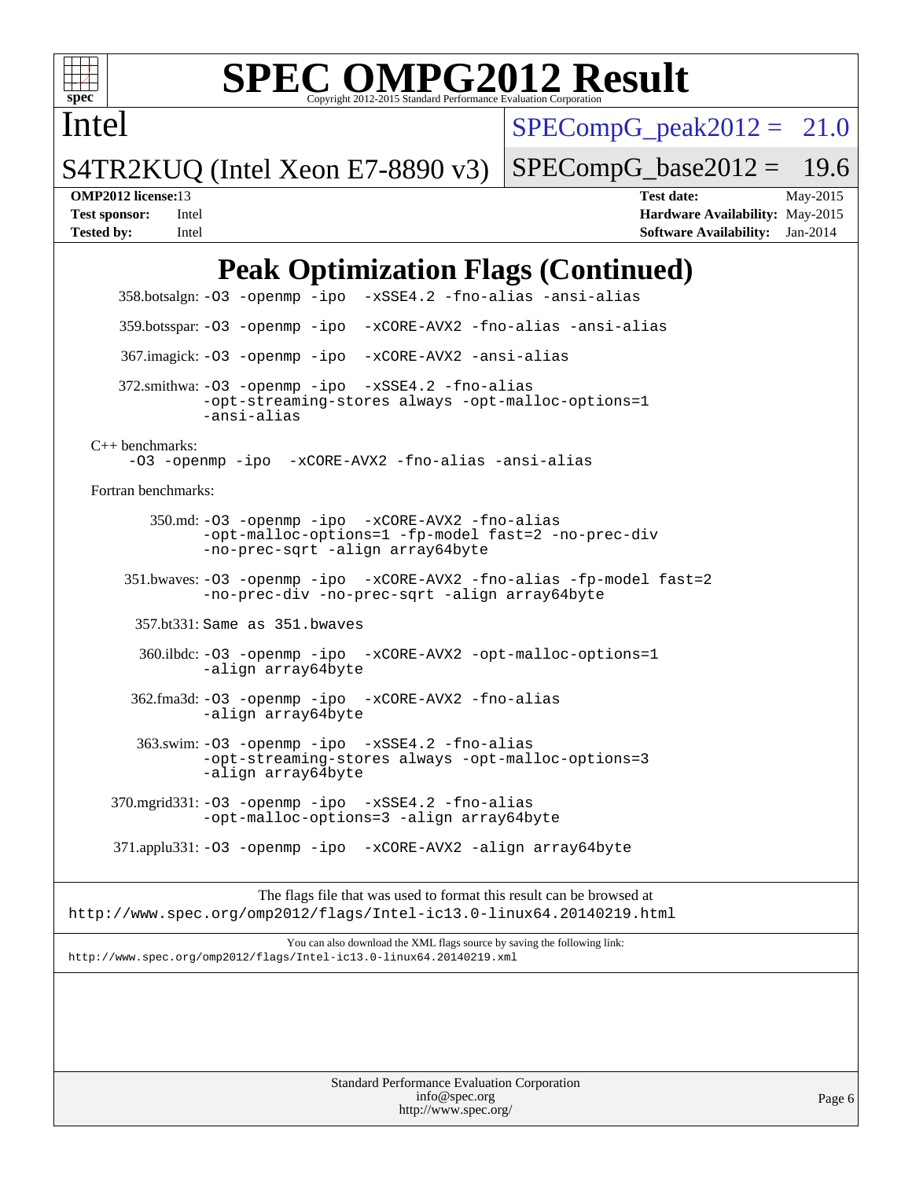

Intel

## **[SPEC OMPG2012 Result](http://www.spec.org/auto/omp2012/Docs/result-fields.html#SPECOMPG2012Result)**

 $SPECompG_peak2012 = 21.0$  $SPECompG_peak2012 = 21.0$ 

S4TR2KUQ (Intel Xeon E7-8890 v3)

 $SPECompG_base2012 = 19.6$  $SPECompG_base2012 = 19.6$ 

**[OMP2012 license:](http://www.spec.org/auto/omp2012/Docs/result-fields.html#OMP2012license)**13 **[Test date:](http://www.spec.org/auto/omp2012/Docs/result-fields.html#Testdate)** May-2015 **[Test sponsor:](http://www.spec.org/auto/omp2012/Docs/result-fields.html#Testsponsor)** Intel **[Hardware Availability:](http://www.spec.org/auto/omp2012/Docs/result-fields.html#HardwareAvailability)** May-2015 **[Tested by:](http://www.spec.org/auto/omp2012/Docs/result-fields.html#Testedby)** Intel **[Software Availability:](http://www.spec.org/auto/omp2012/Docs/result-fields.html#SoftwareAvailability)** Jan-2014

## **[Peak Optimization Flags \(Continued\)](http://www.spec.org/auto/omp2012/Docs/result-fields.html#PeakOptimizationFlags)**

Standard Performance Evaluation Corporation [info@spec.org](mailto:info@spec.org) 358.botsalgn: [-O3](http://www.spec.org/omp2012/results/res2015q2/omp2012-20150527-00065.flags.html#user_peakOPTIMIZE358_botsalgn_f-O3) [-openmp](http://www.spec.org/omp2012/results/res2015q2/omp2012-20150527-00065.flags.html#user_peakOPTIMIZE358_botsalgn_f-openmp) [-ipo](http://www.spec.org/omp2012/results/res2015q2/omp2012-20150527-00065.flags.html#user_peakOPTIMIZE358_botsalgn_f-ipo_84062ab53814f613187d02344b8f49a7) [-xSSE4.2](http://www.spec.org/omp2012/results/res2015q2/omp2012-20150527-00065.flags.html#user_peakOPTIMIZE358_botsalgn_f-xSSE42_f91528193cf0b216347adb8b939d4107) [-fno-alias](http://www.spec.org/omp2012/results/res2015q2/omp2012-20150527-00065.flags.html#user_peakOPTIMIZE358_botsalgn_f-no-alias_694e77f6c5a51e658e82ccff53a9e63a) [-ansi-alias](http://www.spec.org/omp2012/results/res2015q2/omp2012-20150527-00065.flags.html#user_peakCOPTIMIZE358_botsalgn_f-ansi-alias) 359.botsspar: [-O3](http://www.spec.org/omp2012/results/res2015q2/omp2012-20150527-00065.flags.html#user_peakOPTIMIZE359_botsspar_f-O3) [-openmp](http://www.spec.org/omp2012/results/res2015q2/omp2012-20150527-00065.flags.html#user_peakOPTIMIZE359_botsspar_f-openmp) [-ipo](http://www.spec.org/omp2012/results/res2015q2/omp2012-20150527-00065.flags.html#user_peakOPTIMIZE359_botsspar_f-ipo_84062ab53814f613187d02344b8f49a7) [-xCORE-AVX2](http://www.spec.org/omp2012/results/res2015q2/omp2012-20150527-00065.flags.html#user_peakOPTIMIZE359_botsspar_f-xCORE-AVX2) [-fno-alias](http://www.spec.org/omp2012/results/res2015q2/omp2012-20150527-00065.flags.html#user_peakOPTIMIZE359_botsspar_f-no-alias_694e77f6c5a51e658e82ccff53a9e63a) [-ansi-alias](http://www.spec.org/omp2012/results/res2015q2/omp2012-20150527-00065.flags.html#user_peakCOPTIMIZE359_botsspar_f-ansi-alias) 367.imagick: [-O3](http://www.spec.org/omp2012/results/res2015q2/omp2012-20150527-00065.flags.html#user_peakOPTIMIZE367_imagick_f-O3) [-openmp](http://www.spec.org/omp2012/results/res2015q2/omp2012-20150527-00065.flags.html#user_peakOPTIMIZE367_imagick_f-openmp) [-ipo](http://www.spec.org/omp2012/results/res2015q2/omp2012-20150527-00065.flags.html#user_peakOPTIMIZE367_imagick_f-ipo_84062ab53814f613187d02344b8f49a7) [-xCORE-AVX2](http://www.spec.org/omp2012/results/res2015q2/omp2012-20150527-00065.flags.html#user_peakOPTIMIZE367_imagick_f-xCORE-AVX2) [-ansi-alias](http://www.spec.org/omp2012/results/res2015q2/omp2012-20150527-00065.flags.html#user_peakCOPTIMIZE367_imagick_f-ansi-alias) 372.smithwa: [-O3](http://www.spec.org/omp2012/results/res2015q2/omp2012-20150527-00065.flags.html#user_peakOPTIMIZE372_smithwa_f-O3) [-openmp](http://www.spec.org/omp2012/results/res2015q2/omp2012-20150527-00065.flags.html#user_peakOPTIMIZE372_smithwa_f-openmp) [-ipo](http://www.spec.org/omp2012/results/res2015q2/omp2012-20150527-00065.flags.html#user_peakOPTIMIZE372_smithwa_f-ipo_84062ab53814f613187d02344b8f49a7) [-xSSE4.2](http://www.spec.org/omp2012/results/res2015q2/omp2012-20150527-00065.flags.html#user_peakOPTIMIZE372_smithwa_f-xSSE42_f91528193cf0b216347adb8b939d4107) [-fno-alias](http://www.spec.org/omp2012/results/res2015q2/omp2012-20150527-00065.flags.html#user_peakOPTIMIZE372_smithwa_f-no-alias_694e77f6c5a51e658e82ccff53a9e63a) [-opt-streaming-stores always](http://www.spec.org/omp2012/results/res2015q2/omp2012-20150527-00065.flags.html#user_peakOPTIMIZE372_smithwa_f-opt-streaming-stores-always_66f55dbc532842151ebc4c82f4f5b019) [-opt-malloc-options=1](http://www.spec.org/omp2012/results/res2015q2/omp2012-20150527-00065.flags.html#user_peakOPTIMIZE372_smithwa_f-opt-malloc-options_d882ffc6ff87e51efe45f9a5190004b0) [-ansi-alias](http://www.spec.org/omp2012/results/res2015q2/omp2012-20150527-00065.flags.html#user_peakCOPTIMIZE372_smithwa_f-ansi-alias) [C++ benchmarks:](http://www.spec.org/auto/omp2012/Docs/result-fields.html#CXXbenchmarks) [-O3](http://www.spec.org/omp2012/results/res2015q2/omp2012-20150527-00065.flags.html#user_CXXpeak_f-O3) [-openmp](http://www.spec.org/omp2012/results/res2015q2/omp2012-20150527-00065.flags.html#user_CXXpeak_f-openmp) [-ipo](http://www.spec.org/omp2012/results/res2015q2/omp2012-20150527-00065.flags.html#user_CXXpeak_f-ipo_84062ab53814f613187d02344b8f49a7) [-xCORE-AVX2](http://www.spec.org/omp2012/results/res2015q2/omp2012-20150527-00065.flags.html#user_CXXpeak_f-xCORE-AVX2) [-fno-alias](http://www.spec.org/omp2012/results/res2015q2/omp2012-20150527-00065.flags.html#user_CXXpeak_f-no-alias_694e77f6c5a51e658e82ccff53a9e63a) [-ansi-alias](http://www.spec.org/omp2012/results/res2015q2/omp2012-20150527-00065.flags.html#user_CXXpeak_f-ansi-alias) [Fortran benchmarks](http://www.spec.org/auto/omp2012/Docs/result-fields.html#Fortranbenchmarks): 350.md: [-O3](http://www.spec.org/omp2012/results/res2015q2/omp2012-20150527-00065.flags.html#user_peakOPTIMIZE350_md_f-O3) [-openmp](http://www.spec.org/omp2012/results/res2015q2/omp2012-20150527-00065.flags.html#user_peakOPTIMIZE350_md_f-openmp) [-ipo](http://www.spec.org/omp2012/results/res2015q2/omp2012-20150527-00065.flags.html#user_peakOPTIMIZE350_md_f-ipo_84062ab53814f613187d02344b8f49a7) [-xCORE-AVX2](http://www.spec.org/omp2012/results/res2015q2/omp2012-20150527-00065.flags.html#user_peakOPTIMIZE350_md_f-xCORE-AVX2) [-fno-alias](http://www.spec.org/omp2012/results/res2015q2/omp2012-20150527-00065.flags.html#user_peakOPTIMIZE350_md_f-no-alias_694e77f6c5a51e658e82ccff53a9e63a) [-opt-malloc-options=1](http://www.spec.org/omp2012/results/res2015q2/omp2012-20150527-00065.flags.html#user_peakOPTIMIZE350_md_f-opt-malloc-options_d882ffc6ff87e51efe45f9a5190004b0) [-fp-model fast=2](http://www.spec.org/omp2012/results/res2015q2/omp2012-20150527-00065.flags.html#user_peakFOPTIMIZE350_md_f-fp-model_a7fb8ccb7275e23f0079632c153cfcab) [-no-prec-div](http://www.spec.org/omp2012/results/res2015q2/omp2012-20150527-00065.flags.html#user_peakFOPTIMIZE350_md_f-no-prec-div) [-no-prec-sqrt](http://www.spec.org/omp2012/results/res2015q2/omp2012-20150527-00065.flags.html#user_peakFOPTIMIZE350_md_f-no-prec-sqrt) [-align array64byte](http://www.spec.org/omp2012/results/res2015q2/omp2012-20150527-00065.flags.html#user_peakFOPTIMIZE350_md_f-align_c9377f996e966d652baaf753401d4725) 351.bwaves: [-O3](http://www.spec.org/omp2012/results/res2015q2/omp2012-20150527-00065.flags.html#user_peakOPTIMIZE351_bwaves_f-O3) [-openmp](http://www.spec.org/omp2012/results/res2015q2/omp2012-20150527-00065.flags.html#user_peakOPTIMIZE351_bwaves_f-openmp) [-ipo](http://www.spec.org/omp2012/results/res2015q2/omp2012-20150527-00065.flags.html#user_peakOPTIMIZE351_bwaves_f-ipo_84062ab53814f613187d02344b8f49a7) [-xCORE-AVX2](http://www.spec.org/omp2012/results/res2015q2/omp2012-20150527-00065.flags.html#user_peakOPTIMIZE351_bwaves_f-xCORE-AVX2) [-fno-alias](http://www.spec.org/omp2012/results/res2015q2/omp2012-20150527-00065.flags.html#user_peakOPTIMIZE351_bwaves_f-no-alias_694e77f6c5a51e658e82ccff53a9e63a) [-fp-model fast=2](http://www.spec.org/omp2012/results/res2015q2/omp2012-20150527-00065.flags.html#user_peakFOPTIMIZE351_bwaves_f-fp-model_a7fb8ccb7275e23f0079632c153cfcab) [-no-prec-div](http://www.spec.org/omp2012/results/res2015q2/omp2012-20150527-00065.flags.html#user_peakFOPTIMIZE351_bwaves_f-no-prec-div) [-no-prec-sqrt](http://www.spec.org/omp2012/results/res2015q2/omp2012-20150527-00065.flags.html#user_peakFOPTIMIZE351_bwaves_f-no-prec-sqrt) [-align array64byte](http://www.spec.org/omp2012/results/res2015q2/omp2012-20150527-00065.flags.html#user_peakFOPTIMIZE351_bwaves_f-align_c9377f996e966d652baaf753401d4725) 357.bt331: Same as 351.bwaves 360.ilbdc: [-O3](http://www.spec.org/omp2012/results/res2015q2/omp2012-20150527-00065.flags.html#user_peakOPTIMIZE360_ilbdc_f-O3) [-openmp](http://www.spec.org/omp2012/results/res2015q2/omp2012-20150527-00065.flags.html#user_peakOPTIMIZE360_ilbdc_f-openmp) [-ipo](http://www.spec.org/omp2012/results/res2015q2/omp2012-20150527-00065.flags.html#user_peakOPTIMIZE360_ilbdc_f-ipo_84062ab53814f613187d02344b8f49a7) [-xCORE-AVX2](http://www.spec.org/omp2012/results/res2015q2/omp2012-20150527-00065.flags.html#user_peakOPTIMIZE360_ilbdc_f-xCORE-AVX2) [-opt-malloc-options=1](http://www.spec.org/omp2012/results/res2015q2/omp2012-20150527-00065.flags.html#user_peakOPTIMIZE360_ilbdc_f-opt-malloc-options_d882ffc6ff87e51efe45f9a5190004b0) [-align array64byte](http://www.spec.org/omp2012/results/res2015q2/omp2012-20150527-00065.flags.html#user_peakFOPTIMIZE360_ilbdc_f-align_c9377f996e966d652baaf753401d4725) 362.fma3d: [-O3](http://www.spec.org/omp2012/results/res2015q2/omp2012-20150527-00065.flags.html#user_peakOPTIMIZE362_fma3d_f-O3) [-openmp](http://www.spec.org/omp2012/results/res2015q2/omp2012-20150527-00065.flags.html#user_peakOPTIMIZE362_fma3d_f-openmp) [-ipo](http://www.spec.org/omp2012/results/res2015q2/omp2012-20150527-00065.flags.html#user_peakOPTIMIZE362_fma3d_f-ipo_84062ab53814f613187d02344b8f49a7) [-xCORE-AVX2](http://www.spec.org/omp2012/results/res2015q2/omp2012-20150527-00065.flags.html#user_peakOPTIMIZE362_fma3d_f-xCORE-AVX2) [-fno-alias](http://www.spec.org/omp2012/results/res2015q2/omp2012-20150527-00065.flags.html#user_peakOPTIMIZE362_fma3d_f-no-alias_694e77f6c5a51e658e82ccff53a9e63a) [-align array64byte](http://www.spec.org/omp2012/results/res2015q2/omp2012-20150527-00065.flags.html#user_peakFOPTIMIZE362_fma3d_f-align_c9377f996e966d652baaf753401d4725) 363.swim: [-O3](http://www.spec.org/omp2012/results/res2015q2/omp2012-20150527-00065.flags.html#user_peakOPTIMIZE363_swim_f-O3) [-openmp](http://www.spec.org/omp2012/results/res2015q2/omp2012-20150527-00065.flags.html#user_peakOPTIMIZE363_swim_f-openmp) [-ipo](http://www.spec.org/omp2012/results/res2015q2/omp2012-20150527-00065.flags.html#user_peakOPTIMIZE363_swim_f-ipo_84062ab53814f613187d02344b8f49a7) [-xSSE4.2](http://www.spec.org/omp2012/results/res2015q2/omp2012-20150527-00065.flags.html#user_peakOPTIMIZE363_swim_f-xSSE42_f91528193cf0b216347adb8b939d4107) [-fno-alias](http://www.spec.org/omp2012/results/res2015q2/omp2012-20150527-00065.flags.html#user_peakOPTIMIZE363_swim_f-no-alias_694e77f6c5a51e658e82ccff53a9e63a) [-opt-streaming-stores always](http://www.spec.org/omp2012/results/res2015q2/omp2012-20150527-00065.flags.html#user_peakOPTIMIZE363_swim_f-opt-streaming-stores-always_66f55dbc532842151ebc4c82f4f5b019) [-opt-malloc-options=3](http://www.spec.org/omp2012/results/res2015q2/omp2012-20150527-00065.flags.html#user_peakOPTIMIZE363_swim_f-opt-malloc-options_13ab9b803cf986b4ee62f0a5998c2238) [-align array64byte](http://www.spec.org/omp2012/results/res2015q2/omp2012-20150527-00065.flags.html#user_peakFOPTIMIZE363_swim_f-align_c9377f996e966d652baaf753401d4725) 370.mgrid331: [-O3](http://www.spec.org/omp2012/results/res2015q2/omp2012-20150527-00065.flags.html#user_peakOPTIMIZE370_mgrid331_f-O3) [-openmp](http://www.spec.org/omp2012/results/res2015q2/omp2012-20150527-00065.flags.html#user_peakOPTIMIZE370_mgrid331_f-openmp) [-ipo](http://www.spec.org/omp2012/results/res2015q2/omp2012-20150527-00065.flags.html#user_peakOPTIMIZE370_mgrid331_f-ipo_84062ab53814f613187d02344b8f49a7) [-xSSE4.2](http://www.spec.org/omp2012/results/res2015q2/omp2012-20150527-00065.flags.html#user_peakOPTIMIZE370_mgrid331_f-xSSE42_f91528193cf0b216347adb8b939d4107) [-fno-alias](http://www.spec.org/omp2012/results/res2015q2/omp2012-20150527-00065.flags.html#user_peakOPTIMIZE370_mgrid331_f-no-alias_694e77f6c5a51e658e82ccff53a9e63a) [-opt-malloc-options=3](http://www.spec.org/omp2012/results/res2015q2/omp2012-20150527-00065.flags.html#user_peakOPTIMIZE370_mgrid331_f-opt-malloc-options_13ab9b803cf986b4ee62f0a5998c2238) [-align array64byte](http://www.spec.org/omp2012/results/res2015q2/omp2012-20150527-00065.flags.html#user_peakFOPTIMIZE370_mgrid331_f-align_c9377f996e966d652baaf753401d4725) 371.applu331: [-O3](http://www.spec.org/omp2012/results/res2015q2/omp2012-20150527-00065.flags.html#user_peakOPTIMIZE371_applu331_f-O3) [-openmp](http://www.spec.org/omp2012/results/res2015q2/omp2012-20150527-00065.flags.html#user_peakOPTIMIZE371_applu331_f-openmp) [-ipo](http://www.spec.org/omp2012/results/res2015q2/omp2012-20150527-00065.flags.html#user_peakOPTIMIZE371_applu331_f-ipo_84062ab53814f613187d02344b8f49a7) [-xCORE-AVX2](http://www.spec.org/omp2012/results/res2015q2/omp2012-20150527-00065.flags.html#user_peakOPTIMIZE371_applu331_f-xCORE-AVX2) [-align array64byte](http://www.spec.org/omp2012/results/res2015q2/omp2012-20150527-00065.flags.html#user_peakFOPTIMIZE371_applu331_f-align_c9377f996e966d652baaf753401d4725) The flags file that was used to format this result can be browsed at <http://www.spec.org/omp2012/flags/Intel-ic13.0-linux64.20140219.html> You can also download the XML flags source by saving the following link: <http://www.spec.org/omp2012/flags/Intel-ic13.0-linux64.20140219.xml>

<http://www.spec.org/>

Page 6